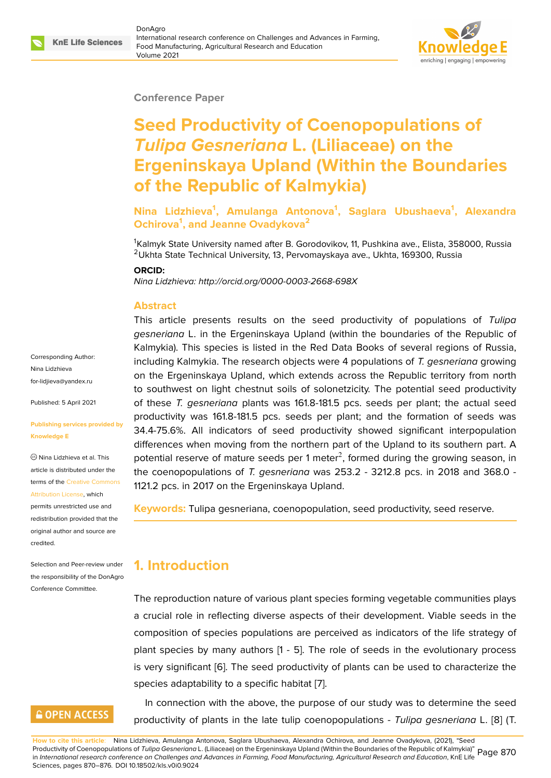#### **Conference Paper**

# **Seed Productivity of Coenopopulations of** *Tulipa Gesneriana* **L. (Liliaceae) on the Ergeninskaya Upland (Within the Boundaries of the Republic of Kalmykia)**

**Nina Lidzhieva<sup>1</sup> , Amulanga Antonova<sup>1</sup> , Saglara Ubushaeva<sup>1</sup> , Alexandra Ochirova<sup>1</sup> , and Jeanne Ovadykova<sup>2</sup>**

<sup>1</sup>Kalmyk State University named after B. Gorodovikov, 11, Pushkina ave., Elista, 358000, Russia <sup>2</sup>Ukhta State Technical University, 13, Pervomayskaya ave., Ukhta, 169300, Russia

#### **ORCID:**

*Nina Lidzhieva: http://orcid.org/0000-0003-2668-698X*

#### **Abstract**

This article presents results on the seed productivity of populations of *Tulipa gesneriana* L. in the Ergeninskaya Upland (within the boundaries of the Republic of Kalmykia). This species is listed in the Red Data Books of several regions of Russia, including Kalmykia. The research objects were 4 populations of *T. gesneriana* growing on the Ergeninskaya Upland, which extends across the Republic territory from north to southwest on light chestnut soils of solonetzicity. The potential seed productivity of these *T. gesneriana* plants was 161.8-181.5 pcs. seeds per plant; the actual seed productivity was 161.8-181.5 pcs. seeds per plant; and the formation of seeds was 34.4-75.6%. All indicators of seed productivity showed significant interpopulation differences when moving from the northern part of the Upland to its southern part. A potential reserve of mature seeds per 1 meter<sup>2</sup>, formed during the growing season, in the coenopopulations of *T. gesneriana* was 253.2 - 3212.8 pcs. in 2018 and 368.0 - 1121.2 pcs. in 2017 on the Ergeninskaya Upland.

**Keywords:** Tulipa gesneriana, coenopopulation, seed productivity, seed reserve.

### **1. Introduction**

The reproduction nature of various plant species forming vegetable communities plays a crucial role in reflecting diverse aspects of their development. Viable seeds in the composition of species populations are perceived as indicators of the life strategy of plant species by many authors [1 - 5]. The role of seeds in the evolutionary process is very significant [6]. The seed productivity of plants can be used to characterize the species adaptability to a specific habitat [7].

In connection with the above, the purpose of our study was to determine the seed productivity of pla[nt](#page-6-0)s in the late tulip co[en](#page-6-1)opopulations - *Tulipa gesneriana* L. [8] (T.

**How to cite this article**: Nina Lidzhieva, Amulanga Antonova, Saglara Ubushaeva, Alexandra Ochirova, and Jeanne Ovadykova, (2021), "Seed Productivity of Coenopopulations of *Tulipa Gesneriana* L. (Liliaceae) on the Ergeninskaya Upland (Within the Boundaries of the Republic of Kalmykia)" Productivity of Coenopopulations of *Tulipd Gesneridnd* L. (Lillaceae) on the Ergeninskaya Upiand (Within the Boundaries of the Republic of Kalmykia) Page 870<br>In *International research conference on Challenges and Advance* Sciences, pages 870–876. DOI 10.18502/kls.v0i0.9024

Corresponding Author: Nina Lidzhieva for-lidjieva@yandex.ru

Published: 5 April 2021

#### **[Publishing services pr](mailto:for-lidjieva@yandex.ru)ovided by Knowledge E**

Nina Lidzhieva et al. This article is distributed under the terms of the Creative Commons Attribution License, which

permits unrestricted use and redistribution provided that the original auth[or and source are](https://creativecommons.org/licenses/by/4.0/) [credited.](https://creativecommons.org/licenses/by/4.0/)

Selection and Peer-review under the responsibility of the DonAgro Conference Committee.

## **GOPEN ACCESS**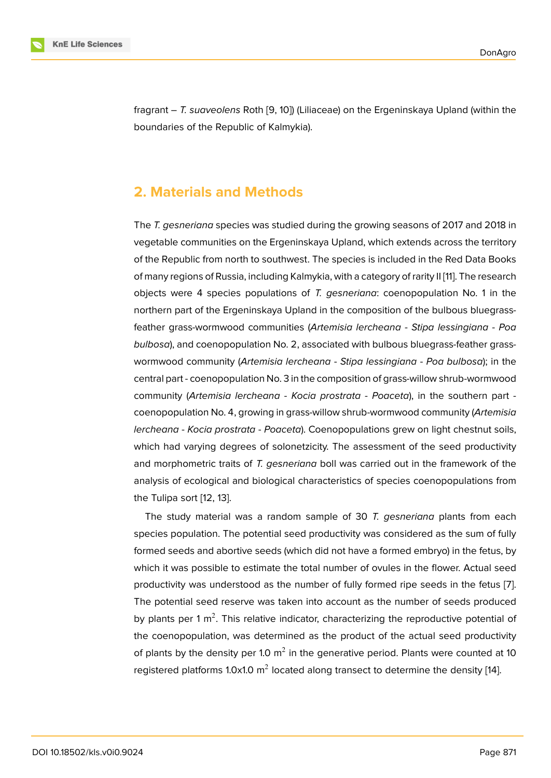fragrant – *T. suaveolens* Roth [9, 10]) (Liliaceae) on the Ergeninskaya Upland (within the boundaries of the Republic of Kalmykia).

### **2. Materials and Methods**

The *T. gesneriana* species was studied during the growing seasons of 2017 and 2018 in vegetable communities on the Ergeninskaya Upland, which extends across the territory of the Republic from north to southwest. The species is included in the Red Data Books of many regions of Russia, including Kalmykia, with a category of rarity II [11]. The research objects were 4 species populations of *T. gesneriana*: coenopopulation No. 1 in the northern part of the Ergeninskaya Upland in the composition of the bulbous bluegrassfeather grass-wormwood communities (*Artemisia lercheana* - *Stipa l[ess](#page-6-2)ingiana* - *Poa bulbosa*), and coenopopulation No. 2, associated with bulbous bluegrass-feather grasswormwood community (*Artemisia lercheana* - *Stipa lessingiana* - *Poa bulbosa*); in the central part - coenopopulation No. 3 in the composition of grass-willow shrub-wormwood community (*Artemisia lercheana* - *Kocia prostrata* - *Poaceta*), in the southern part coenopopulation No. 4, growing in grass-willow shrub-wormwood community (*Artemisia lercheana* - *Kocia prostrata* - *Poaceta*). Coenopopulations grew on light chestnut soils, which had varying degrees of solonetzicity. The assessment of the seed productivity and morphometric traits of *T. gesneriana* boll was carried out in the framework of the analysis of ecological and biological characteristics of species coenopopulations from the Tulipa sort [12, 13].

The study material was a random sample of 30 *T. gesneriana* plants from each species population. The potential seed productivity was considered as the sum of fully formed seeds a[nd](#page-6-3) [ab](#page-6-4)ortive seeds (which did not have a formed embryo) in the fetus, by which it was possible to estimate the total number of ovules in the flower. Actual seed productivity was understood as the number of fully formed ripe seeds in the fetus [7]. The potential seed reserve was taken into account as the number of seeds produced by plants per 1 m<sup>2</sup>. This relative indicator, characterizing the reproductive potential of the coenopopulation, was determined as the product of the actual seed productiv[ity](#page-6-1) of plants by the density per 1.0  $\text{m}^2$  in the generative period. Plants were counted at 10 registered platforms 1.0x1.0 m<sup>2</sup> located along transect to determine the density [14].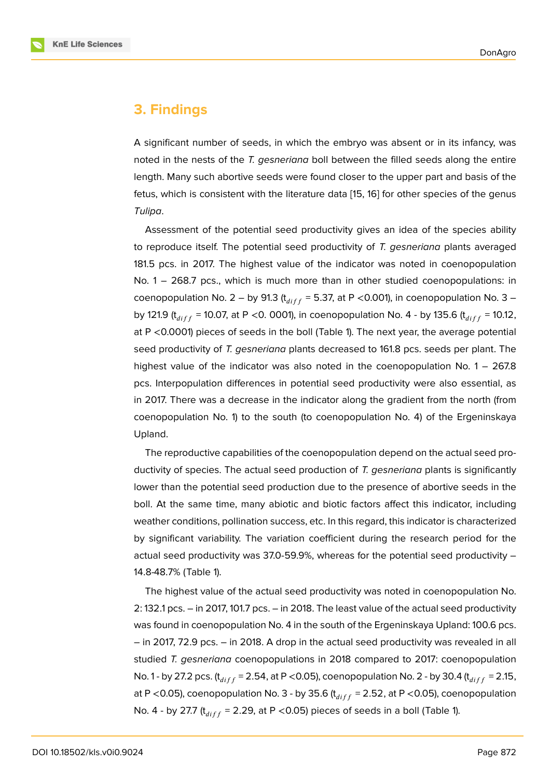### **3. Findings**

A significant number of seeds, in which the embryo was absent or in its infancy, was noted in the nests of the *T. gesneriana* boll between the filled seeds along the entire length. Many such abortive seeds were found closer to the upper part and basis of the fetus, which is consistent with the literature data [15, 16] for other species of the genus *Tulipa*.

Assessment of the potential seed productivity gives an idea of the species ability to reproduce itself. The potential seed productiv[ity](#page-6-5) [of](#page-6-6) *T. gesneriana* plants averaged 181.5 pcs. in 2017. The highest value of the indicator was noted in coenopopulation No. 1 – 268.7 pcs., which is much more than in other studied coenopopulations: in coenopopulation No. 2 – by 91.3 ( $t_{diff}$  = 5.37, at P <0.001), in coenopopulation No. 3 – by 121.9 ( $t_{diff}$  = 10.07, at P < 0. 0001), in coenopopulation No. 4 - by 135.6 ( $t_{diff}$  = 10.12, at P <0.0001) pieces of seeds in the boll (Table 1). The next year, the average potential seed productivity of *T. gesneriana* plants decreased to 161.8 pcs. seeds per plant. The highest value of the indicator was also noted in the coenopopulation No.  $1 - 267.8$ pcs. Interpopulation differences in potential seed productivity were also essential, as in 2017. There was a decrease in the indicator along the gradient from the north (from coenopopulation No. 1) to the south (to coenopopulation No. 4) of the Ergeninskaya Upland.

The reproductive capabilities of the coenopopulation depend on the actual seed productivity of species. The actual seed production of *T. gesneriana* plants is significantly lower than the potential seed production due to the presence of abortive seeds in the boll. At the same time, many abiotic and biotic factors affect this indicator, including weather conditions, pollination success, etc. In this regard, this indicator is characterized by significant variability. The variation coefficient during the research period for the actual seed productivity was 37.0-59.9%, whereas for the potential seed productivity – 14.8-48.7% (Table 1).

The highest value of the actual seed productivity was noted in coenopopulation No. 2: 132.1 pcs. – in 2017, 101.7 pcs. – in 2018. The least value of the actual seed productivity was found in coenopopulation No. 4 in the south of the Ergeninskaya Upland: 100.6 pcs. – in 2017, 72.9 pcs. – in 2018. A drop in the actual seed productivity was revealed in all studied *T. gesneriana* coenopopulations in 2018 compared to 2017: coenopopulation No. 1 - by 27.2 pcs.  $(t_{diff} = 2.54, at P < 0.05)$ , coenopopulation No. 2 - by 30.4  $(t_{diff} = 2.15,$ at P <0.05), coenopopulation No. 3 - by 35.6  $(t_{diff} = 2.52)$ , at P <0.05), coenopopulation No. 4 - by 27.7 ( $t_{diff}$  = 2.29, at P < 0.05) pieces of seeds in a boll (Table 1).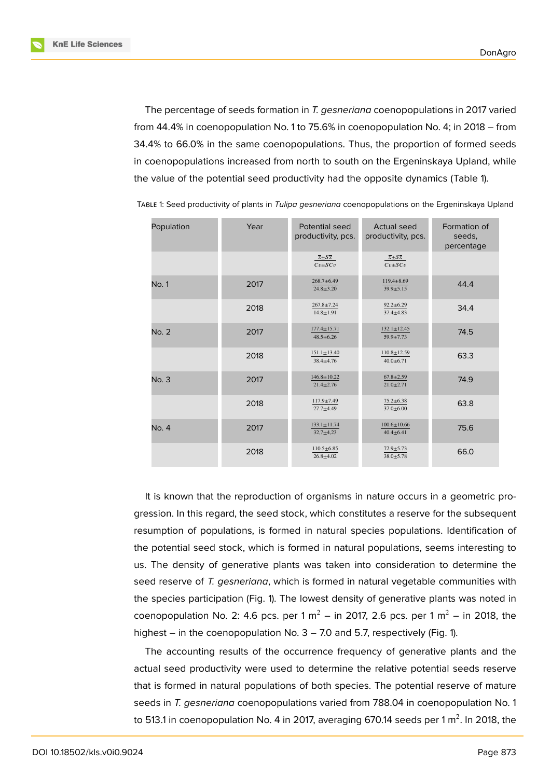**KnE Life Sciences** 



The percentage of seeds formation in *T. gesneriana* coenopopulations in 2017 varied from 44.4% in coenopopulation No. 1 to 75.6% in coenopopulation No. 4; in 2018 – from 34.4% to 66.0% in the same coenopopulations. Thus, the proportion of formed seeds in coenopopulations increased from north to south on the Ergeninskaya Upland, while the value of the potential seed productivity had the opposite dynamics (Table 1).

| Population   | Year | Potential seed<br>productivity, pcs.          | <b>Actual seed</b><br>productivity, pcs.      | Formation of<br>seeds,<br>percentage |  |
|--------------|------|-----------------------------------------------|-----------------------------------------------|--------------------------------------|--|
|              |      | $\overline{x} \pm S \overline{x}$<br>$Cv+SCv$ | $\overline{x} \pm S \overline{x}$<br>$Cv+SCv$ |                                      |  |
| <b>No. 1</b> | 2017 | $268.7 + 6.49$<br>$24.8 \pm 3.20$             | $119.4 \pm 8.69$<br>$39.9 \pm 5.15$           | 44.4                                 |  |
|              | 2018 | $267.8 \pm 7.24$<br>$14.8 \pm 1.91$           | $92.2 \pm 6.29$<br>$37.4 + 4.83$              | 34.4                                 |  |
| No. 2        | 2017 | $177.4 \pm 15.71$<br>$48.5 \pm 6.26$          | $132.1 \pm 12.45$<br>$59.9 \pm 7.73$          | 74.5                                 |  |
|              | 2018 | $151.1 \pm 13.40$<br>$38.4 \pm 4.76$          | $110.8 \pm 12.59$<br>$40.0 \pm 6.71$          | 63.3                                 |  |
| No. 3        | 2017 | $146.8 \pm 10.22$<br>$21.4 \pm 2.76$          | $67.8 \pm 2.59$<br>$21.0 \pm 2.71$            | 74.9                                 |  |
|              | 2018 | $117.9 + 7.49$<br>$27.7 + 4.49$               | $75.2 \pm 6.38$<br>$37.0 \pm 6.00$            | 63.8                                 |  |
| No. 4        | 2017 | $133.1 \pm 11.74$<br>$32.7 + 4.23$            | $100.6 \pm 10.66$<br>$40.4 \pm 6.41$          | 75.6                                 |  |
|              | 2018 | $110.5 \pm 6.85$<br>$26.8 + 4.02$             | $72.9 \pm 5.73$<br>$38.0 + 5.78$              | 66.0                                 |  |

TABLE 1: Seed productivity of plants in *Tulipa gesneriana* coenopopulations on the Ergeninskaya Upland

It is known that the reproduction of organisms in nature occurs in a geometric progression. In this regard, the seed stock, which constitutes a reserve for the subsequent resumption of populations, is formed in natural species populations. Identification of the potential seed stock, which is formed in natural populations, seems interesting to us. The density of generative plants was taken into consideration to determine the seed reserve of *T. gesneriana*, which is formed in natural vegetable communities with the species participation (Fig. 1). The lowest density of generative plants was noted in coenopopulation No. 2: 4.6 pcs. per 1  $m^2$  – in 2017, 2.6 pcs. per 1  $m^2$  – in 2018, the highest – in the coenopopulation No. 3 – 7.0 and 5.7, respectively (Fig. 1).

The accounting results of the occurrence frequency of generative plants and the actual seed productivity were used to determine the relative potential seeds reserve that is formed in natural populations of both species. The potential reserve of mature seeds in *T. gesneriana* coenopopulations varied from 788.04 in coenopopulation No. 1 to 513.1 in coenopopulation No. 4 in 2017, averaging 670.14 seeds per 1 m $^2$ . In 2018, the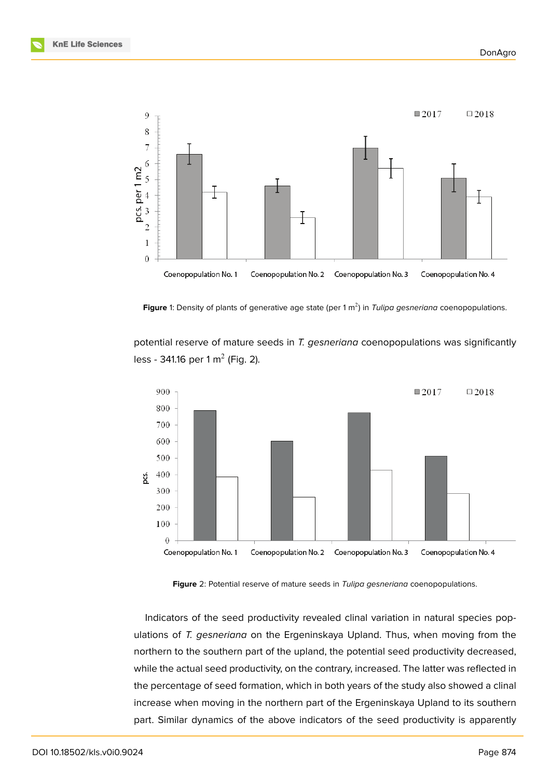



**Figure** 1: Density of plants of generative age state (per 1 m<sup>2</sup>) in *Tulipa gesneriana* coenopopulations.

potential reserve of mature seeds in *T. gesneriana* coenopopulations was significantly less - 341.16 per 1 m<sup>2</sup> (Fig. 2).



**Figure** 2: Potential reserve of mature seeds in *Tulipa gesneriana* coenopopulations.

Indicators of the seed productivity revealed clinal variation in natural species populations of *T. gesneriana* on the Ergeninskaya Upland. Thus, when moving from the northern to the southern part of the upland, the potential seed productivity decreased, while the actual seed productivity, on the contrary, increased. The latter was reflected in the percentage of seed formation, which in both years of the study also showed a clinal increase when moving in the northern part of the Ergeninskaya Upland to its southern part. Similar dynamics of the above indicators of the seed productivity is apparently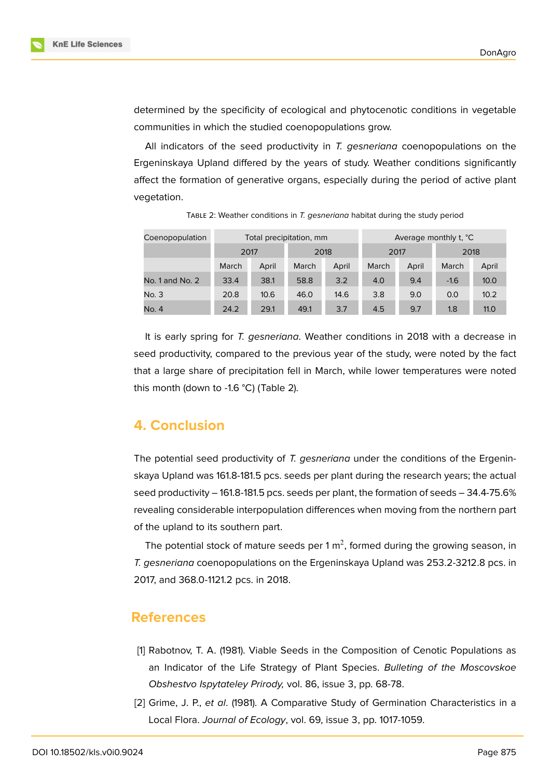



determined by the specificity of ecological and phytocenotic conditions in vegetable communities in which the studied coenopopulations grow.

All indicators of the seed productivity in *T. gesneriana* coenopopulations on the Ergeninskaya Upland differed by the years of study. Weather conditions significantly affect the formation of generative organs, especially during the period of active plant vegetation.

| Coenopopulation | Total precipitation, mm |       |       |       | Average monthly t. °C |       |        |       |
|-----------------|-------------------------|-------|-------|-------|-----------------------|-------|--------|-------|
|                 | 2017                    |       | 2018  |       | 2017                  |       | 2018   |       |
|                 | March                   | April | March | April | March                 | April | March  | April |
| No. 1 and No. 2 | 33.4                    | 38.1  | 58.8  | 3.2   | 4.0                   | 9.4   | $-1.6$ | 10.0  |
| No. 3           | 20.8                    | 10.6  | 46.0  | 14.6  | 3.8                   | 9.0   | 0.0    | 10.2  |
| No. 4           | 24.2                    | 29.1  | 49.1  | 3.7   | 4.5                   | 9.7   | 1.8    | 11.0  |

TABLE 2: Weather conditions in *T. gesneriana* habitat during the study period

It is early spring for *T. gesneriana*. Weather conditions in 2018 with a decrease in seed productivity, compared to the previous year of the study, were noted by the fact that a large share of precipitation fell in March, while lower temperatures were noted this month (down to -1.6 °C) (Table 2).

### **4. Conclusion**

The potential seed productivity of *T. gesneriana* under the conditions of the Ergeninskaya Upland was 161.8-181.5 pcs. seeds per plant during the research years; the actual seed productivity – 161.8-181.5 pcs. seeds per plant, the formation of seeds – 34.4-75.6% revealing considerable interpopulation differences when moving from the northern part of the upland to its southern part.

The potential stock of mature seeds per 1  $m^2$ , formed during the growing season, in *T. gesneriana* coenopopulations on the Ergeninskaya Upland was 253.2-3212.8 pcs. in 2017, and 368.0-1121.2 pcs. in 2018.

### **References**

- [1] Rabotnov, T. A. (1981). Viable Seeds in the Composition of Cenotic Populations as an Indicator of the Life Strategy of Plant Species. *Bulleting of the Moscovskoe Obshestvo Ispytateley Prirody,* vol. 86, issue 3, pp. 68-78.
- [2] Grime, J. P., *et al*. (1981). A Comparative Study of Germination Characteristics in a Local Flora. *Journal of Ecology*, vol. 69, issue 3, pp. 1017-1059.